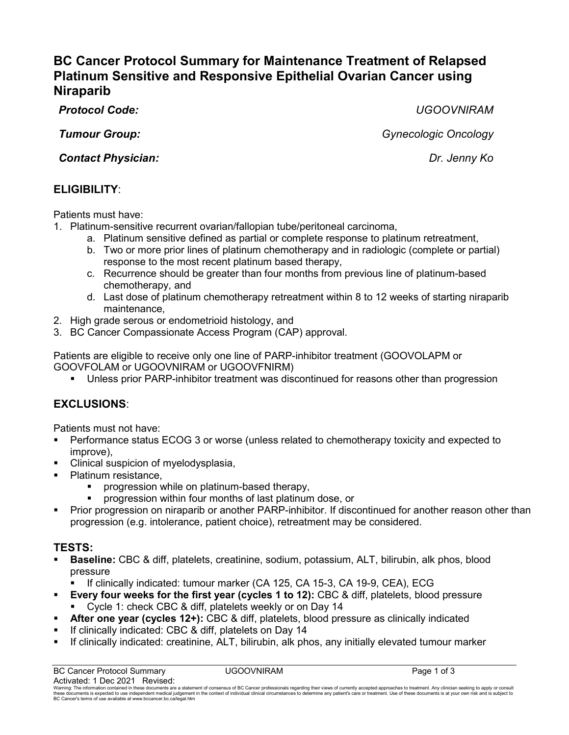# **BC Cancer Protocol Summary for Maintenance Treatment of Relapsed Platinum Sensitive and Responsive Epithelial Ovarian Cancer using Niraparib**

*Protocol Code: UGOOVNIRAM*

*Tumour Group: Gynecologic Oncology*

*Contact Physician: Dr. Jenny Ko*

## **ELIGIBILITY**:

Patients must have:

- 1. Platinum-sensitive recurrent ovarian/fallopian tube/peritoneal carcinoma,
	- a. Platinum sensitive defined as partial or complete response to platinum retreatment,
	- b. Two or more prior lines of platinum chemotherapy and in radiologic (complete or partial) response to the most recent platinum based therapy,
	- c. Recurrence should be greater than four months from previous line of platinum-based chemotherapy, and
	- d. Last dose of platinum chemotherapy retreatment within 8 to 12 weeks of starting niraparib maintenance,
- 2. High grade serous or endometrioid histology, and
- 3. BC Cancer Compassionate Access Program (CAP) approval.

Patients are eligible to receive only one line of PARP-inhibitor treatment (GOOVOLAPM or GOOVFOLAM or UGOOVNIRAM or UGOOVFNIRM)

Unless prior PARP-inhibitor treatment was discontinued for reasons other than progression

## **EXCLUSIONS**:

Patients must not have:

- Performance status ECOG 3 or worse (unless related to chemotherapy toxicity and expected to improve),
- Clinical suspicion of myelodysplasia,
- Platinum resistance.
	- **progression while on platinum-based therapy,**
	- progression within four months of last platinum dose, or
- **Prior progression on niraparib or another PARP-inhibitor. If discontinued for another reason other than** progression (e.g. intolerance, patient choice), retreatment may be considered.

## **TESTS:**

 **Baseline:** CBC & diff, platelets, creatinine, sodium, potassium, ALT, bilirubin, alk phos, blood pressure

If clinically indicated: tumour marker (CA 125, CA 15-3, CA 19-9, CEA), ECG

- **Every four weeks for the first year (cycles 1 to 12):** CBC & diff, platelets, blood pressure Cycle 1: check CBC & diff, platelets weekly or on Day 14
- **After one year (cycles 12+):** CBC & diff, platelets, blood pressure as clinically indicated
- If clinically indicated: CBC & diff, platelets on Day 14
- If clinically indicated: creatinine, ALT, bilirubin, alk phos, any initially elevated tumour marker

Warning. The information contained in these documents are a statement of consensus of BC Cancer professionals regarding their views of currently accepted approaches to treatment. Any dinician seeking to apply or consult of these documents is expected to use independent medical judgement<br>BC Cancer's terms of use available a[t www.bccancer.bc.ca/legal.htm](file://phsabc.ehcnet.ca/../../Legal.htm)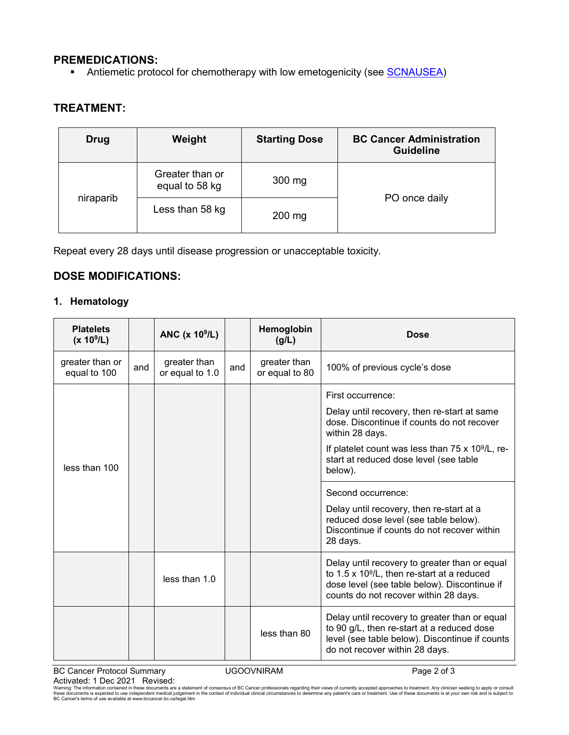#### **PREMEDICATIONS:**

Antiemetic protocol for chemotherapy with low emetogenicity (see **SCNAUSEA**)

## **TREATMENT:**

| <b>Drug</b> | Weight                            | <b>Starting Dose</b> | <b>BC Cancer Administration</b><br><b>Guideline</b> |  |
|-------------|-----------------------------------|----------------------|-----------------------------------------------------|--|
| niraparib   | Greater than or<br>equal to 58 kg | 300 mg               | PO once daily                                       |  |
|             | Less than 58 kg                   | 200 mg               |                                                     |  |

Repeat every 28 days until disease progression or unacceptable toxicity.

#### **DOSE MODIFICATIONS:**

#### **1. Hematology**

| <b>Platelets</b><br>(x 10 <sup>9</sup> /L) |     | ANC $(x 109/L)$                 |     | Hemoglobin<br>(g/L)            | <b>Dose</b>                                                                                                                                                                                   |
|--------------------------------------------|-----|---------------------------------|-----|--------------------------------|-----------------------------------------------------------------------------------------------------------------------------------------------------------------------------------------------|
| greater than or<br>equal to 100            | and | greater than<br>or equal to 1.0 | and | greater than<br>or equal to 80 | 100% of previous cycle's dose                                                                                                                                                                 |
|                                            |     |                                 |     |                                | First occurrence:                                                                                                                                                                             |
|                                            |     |                                 |     |                                | Delay until recovery, then re-start at same<br>dose. Discontinue if counts do not recover<br>within 28 days.                                                                                  |
| less than 100                              |     |                                 |     |                                | If platelet count was less than $75 \times 10^9$ /L, re-<br>start at reduced dose level (see table<br>below).                                                                                 |
|                                            |     |                                 |     |                                | Second occurrence:                                                                                                                                                                            |
|                                            |     |                                 |     |                                | Delay until recovery, then re-start at a<br>reduced dose level (see table below).<br>Discontinue if counts do not recover within<br>28 days.                                                  |
|                                            |     | less than 1.0                   |     |                                | Delay until recovery to greater than or equal<br>to $1.5 \times 10^9$ /L, then re-start at a reduced<br>dose level (see table below). Discontinue if<br>counts do not recover within 28 days. |
|                                            |     |                                 |     | less than 80                   | Delay until recovery to greater than or equal<br>to 90 g/L, then re-start at a reduced dose<br>level (see table below). Discontinue if counts<br>do not recover within 28 days.               |

BC Cancer Protocol Summary **CANCE UGOOVNIRAM** Page 2 of 3 Activated: 1 Dec 2021 Revised:

Warning: The information contained in these documents are a statement of consensus of BC Cancer professionals regarding their views of currently accepted approaches to treatment. Any clinician seeking to apply or consult<br>t